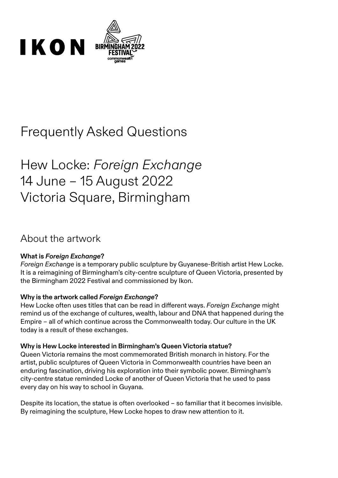

# Frequently Asked Questions

# Hew Locke: *Foreign Exchange* 14 June – 15 August 2022 Victoria Square, Birmingham

### About the artwork

### **What is** *Foreign Exchange***?**

*Foreign Exchange* is a temporary public sculpture by Guyanese-British artist Hew Locke. It is a reimagining of Birmingham's city-centre sculpture of Queen Victoria, presented by the Birmingham 2022 Festival and commissioned by Ikon.

### **Why is the artwork called** *Foreign Exchange***?**

Hew Locke often uses titles that can be read in different ways. *Foreign Exchange* might remind us of the exchange of cultures, wealth, labour and DNA that happened during the Empire – all of which continue across the Commonwealth today. Our culture in the UK today is a result of these exchanges.

#### **Why is Hew Locke interested in Birmingham's Queen Victoria statue?**

Queen Victoria remains the most commemorated British monarch in history. For the artist, public sculptures of Queen Victoria in Commonwealth countries have been an enduring fascination, driving his exploration into their symbolic power. Birmingham's city-centre statue reminded Locke of another of Queen Victoria that he used to pass every day on his way to school in Guyana.

Despite its location, the statue is often overlooked – so familiar that it becomes invisible. By reimagining the sculpture, Hew Locke hopes to draw new attention to it.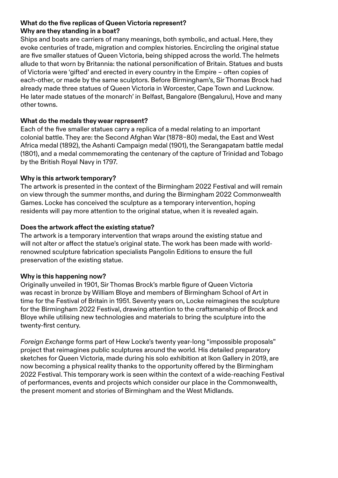### **What do the five replicas of Queen Victoria represent? Why are they standing in a boat?**

Ships and boats are carriers of many meanings, both symbolic, and actual. Here, they evoke centuries of trade, migration and complex histories. Encircling the original statue are five smaller statues of Queen Victoria, being shipped across the world. The helmets allude to that worn by Britannia: the national personification of Britain. Statues and busts of Victoria were 'gifted' and erected in every country in the Empire – often copies of each-other, or made by the same sculptors. Before Birmingham's, Sir Thomas Brock had already made three statues of Queen Victoria in Worcester, Cape Town and Lucknow. He later made statues of the monarch' in Belfast, Bangalore (Bengaluru), Hove and many other towns.

### **What do the medals they wear represent?**

Each of the five smaller statues carry a replica of a medal relating to an important colonial battle. They are: the Second Afghan War (1878–80) medal, the East and West Africa medal (1892), the Ashanti Campaign medal (1901), the Serangapatam battle medal (1801), and a medal commemorating the centenary of the capture of Trinidad and Tobago by the British Royal Navy in 1797.

### **Why is this artwork temporary?**

The artwork is presented in the context of the Birmingham 2022 Festival and will remain on view through the summer months, and during the Birmingham 2022 Commonwealth Games. Locke has conceived the sculpture as a temporary intervention, hoping residents will pay more attention to the original statue, when it is revealed again.

### **Does the artwork affect the existing statue?**

The artwork is a temporary intervention that wraps around the existing statue and will not alter or affect the statue's original state. The work has been made with worldrenowned sculpture fabrication specialists Pangolin Editions to ensure the full preservation of the existing statue.

### **Why is this happening now?**

Originally unveiled in 1901, Sir Thomas Brock's marble figure of Queen Victoria was recast in bronze by William Bloye and members of Birmingham School of Art in time for the Festival of Britain in 1951. Seventy years on, Locke reimagines the sculpture for the Birmingham 2022 Festival, drawing attention to the craftsmanship of Brock and Bloye while utilising new technologies and materials to bring the sculpture into the twenty-first century.

*Foreign Exchange* forms part of Hew Locke's twenty year-long "impossible proposals" project that reimagines public sculptures around the world. His detailed preparatory sketches for Queen Victoria, made during his solo exhibition at Ikon Gallery in 2019, are now becoming a physical reality thanks to the opportunity offered by the Birmingham 2022 Festival. This temporary work is seen within the context of a wide-reaching Festival of performances, events and projects which consider our place in the Commonwealth, the present moment and stories of Birmingham and the West Midlands.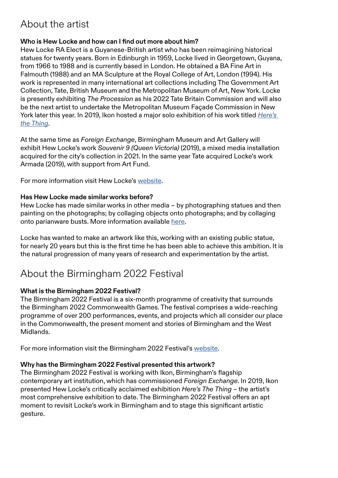### About the artist

### **Who is Hew Locke and how can I find out more about him?**

Hew Locke RA Elect is a Guyanese-British artist who has been reimagining historical statues for twenty years. Born in Edinburgh in 1959, Locke lived in Georgetown, Guyana, from 1966 to 1988 and is currently based in London. He obtained a BA Fine Art in Falmouth (1988) and an MA Sculpture at the Royal College of Art, London (1994). His work is represented in many international art collections including The Government Art Collection, Tate, British Museum and the Metropolitan Museum of Art, New York. Locke is presently exhibiting *The Procession* as his 2022 Tate Britain Commission and will also be the next artist to undertake the Metropolitan Museum Façade Commission in New York later this year. In 2019, Ikon hosted a major solo exhibition of his work titled *[Here's](https://www.ikon-gallery.org/news/view/hew-locke-heres-the-thing)  [the Thing](https://www.ikon-gallery.org/news/view/hew-locke-heres-the-thing)*.

At the same time as *Foreign Exchange*, Birmingham Museum and Art Gallery will exhibit Hew Locke's work *Souvenir 9 (Queen Victoria)* (2019), a mixed media installation acquired for the city's collection in 2021. In the same year Tate acquired Locke's work Armada (2019), with support from Art Fund.

For more information visit Hew Locke's [website.](http://www.hewlocke.net/Homepage2ndsite.html)

#### **Has Hew Locke made similar works before?**

Hew Locke has made similar works in other media – by photographing statues and then painting on the photographs; by collaging objects onto photographs; and by collaging onto parianware busts. More information available [here](http://www.hewlocke.net/statues.html).

Locke has wanted to make an artwork like this, working with an existing public statue, for nearly 20 years but this is the first time he has been able to achieve this ambition. It is the natural progression of many years of research and experimentation by the artist.

### About the Birmingham 2022 Festival

### **What is the Birmingham 2022 Festival?**

The Birmingham 2022 Festival is a six-month programme of creativity that surrounds the Birmingham 2022 Commonwealth Games. The festival comprises a wide-reaching programme of over 200 performances, events, and projects which all consider our place in the Commonwealth, the present moment and stories of Birmingham and the West Midlands.

For more information visit the Birmingham 2022 Festival's [website.](https://www.birmingham2022.com/)

### **Why has the Birmingham 2022 Festival presented this artwork?**

The Birmingham 2022 Festival is working with Ikon, Birmingham's flagship contemporary art institution, which has commissioned *Foreign Exchange*. In 2019, Ikon presented Hew Locke's critically acclaimed exhibition *Here's The Thing* – the artist's most comprehensive exhibition to date. The Birmingham 2022 Festival offers an apt moment to revisit Locke's work in Birmingham and to stage this significant artistic gesture.